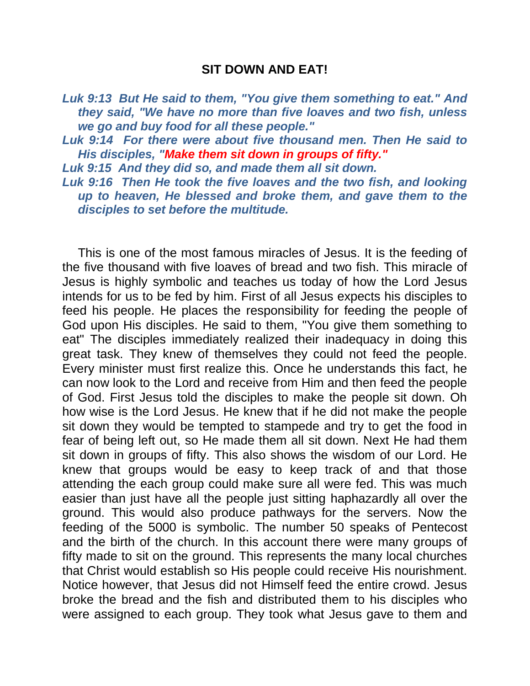## **SIT DOWN AND EAT!**

*Luk 9:13 But He said to them, "You give them something to eat." And they said, "We have no more than five loaves and two fish, unless we go and buy food for all these people."* 

*Luk 9:14 For there were about five thousand men. Then He said to His disciples, "Make them sit down in groups of fifty."*

*Luk 9:15 And they did so, and made them all sit down.* 

*Luk 9:16 Then He took the five loaves and the two fish, and looking up to heaven, He blessed and broke them, and gave them to the disciples to set before the multitude.* 

This is one of the most famous miracles of Jesus. It is the feeding of the five thousand with five loaves of bread and two fish. This miracle of Jesus is highly symbolic and teaches us today of how the Lord Jesus intends for us to be fed by him. First of all Jesus expects his disciples to feed his people. He places the responsibility for feeding the people of God upon His disciples. He said to them, "You give them something to eat" The disciples immediately realized their inadequacy in doing this great task. They knew of themselves they could not feed the people. Every minister must first realize this. Once he understands this fact, he can now look to the Lord and receive from Him and then feed the people of God. First Jesus told the disciples to make the people sit down. Oh how wise is the Lord Jesus. He knew that if he did not make the people sit down they would be tempted to stampede and try to get the food in fear of being left out, so He made them all sit down. Next He had them sit down in groups of fifty. This also shows the wisdom of our Lord. He knew that groups would be easy to keep track of and that those attending the each group could make sure all were fed. This was much easier than just have all the people just sitting haphazardly all over the ground. This would also produce pathways for the servers. Now the feeding of the 5000 is symbolic. The number 50 speaks of Pentecost and the birth of the church. In this account there were many groups of fifty made to sit on the ground. This represents the many local churches that Christ would establish so His people could receive His nourishment. Notice however, that Jesus did not Himself feed the entire crowd. Jesus broke the bread and the fish and distributed them to his disciples who were assigned to each group. They took what Jesus gave to them and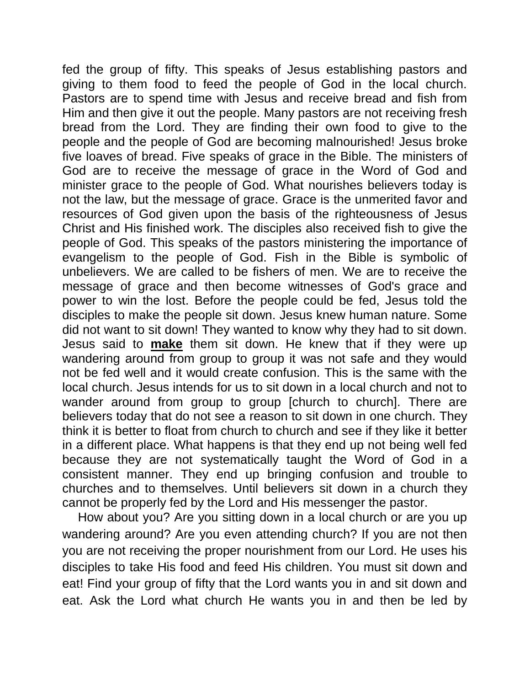fed the group of fifty. This speaks of Jesus establishing pastors and giving to them food to feed the people of God in the local church. Pastors are to spend time with Jesus and receive bread and fish from Him and then give it out the people. Many pastors are not receiving fresh bread from the Lord. They are finding their own food to give to the people and the people of God are becoming malnourished! Jesus broke five loaves of bread. Five speaks of grace in the Bible. The ministers of God are to receive the message of grace in the Word of God and minister grace to the people of God. What nourishes believers today is not the law, but the message of grace. Grace is the unmerited favor and resources of God given upon the basis of the righteousness of Jesus Christ and His finished work. The disciples also received fish to give the people of God. This speaks of the pastors ministering the importance of evangelism to the people of God. Fish in the Bible is symbolic of unbelievers. We are called to be fishers of men. We are to receive the message of grace and then become witnesses of God's grace and power to win the lost. Before the people could be fed, Jesus told the disciples to make the people sit down. Jesus knew human nature. Some did not want to sit down! They wanted to know why they had to sit down. Jesus said to **make** them sit down. He knew that if they were up wandering around from group to group it was not safe and they would not be fed well and it would create confusion. This is the same with the local church. Jesus intends for us to sit down in a local church and not to wander around from group to group [church to church]. There are believers today that do not see a reason to sit down in one church. They think it is better to float from church to church and see if they like it better in a different place. What happens is that they end up not being well fed because they are not systematically taught the Word of God in a consistent manner. They end up bringing confusion and trouble to churches and to themselves. Until believers sit down in a church they cannot be properly fed by the Lord and His messenger the pastor.

How about you? Are you sitting down in a local church or are you up wandering around? Are you even attending church? If you are not then you are not receiving the proper nourishment from our Lord. He uses his disciples to take His food and feed His children. You must sit down and eat! Find your group of fifty that the Lord wants you in and sit down and eat. Ask the Lord what church He wants you in and then be led by